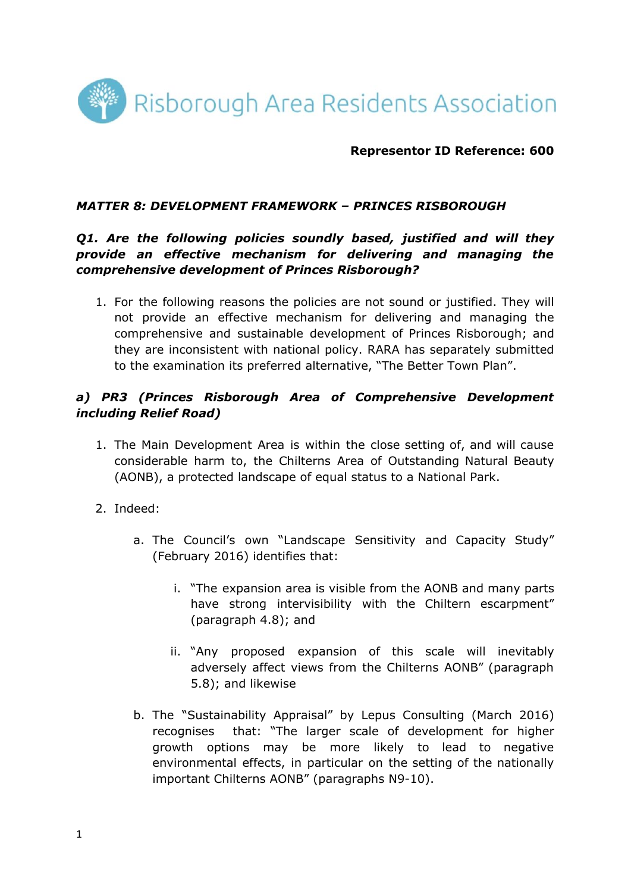

#### **Representor ID Reference: 600**

#### *MATTER 8: DEVELOPMENT FRAMEWORK – PRINCES RISBOROUGH*

### *Q1. Are the following policies soundly based, justified and will they provide an effective mechanism for delivering and managing the comprehensive development of Princes Risborough?*

1. For the following reasons the policies are not sound or justified. They will not provide an effective mechanism for delivering and managing the comprehensive and sustainable development of Princes Risborough; and they are inconsistent with national policy. RARA has separately submitted to the examination its preferred alternative, "The Better Town Plan".

### *a) PR3 (Princes Risborough Area of Comprehensive Development including Relief Road)*

- 1. The Main Development Area is within the close setting of, and will cause considerable harm to, the Chilterns Area of Outstanding Natural Beauty (AONB), a protected landscape of equal status to a National Park.
- 2. Indeed:
	- a. The Council's own "Landscape Sensitivity and Capacity Study" (February 2016) identifies that:
		- i. "The expansion area is visible from the AONB and many parts have strong intervisibility with the Chiltern escarpment" (paragraph 4.8); and
		- ii. "Any proposed expansion of this scale will inevitably adversely affect views from the Chilterns AONB" (paragraph 5.8); and likewise
	- b. The "Sustainability Appraisal" by Lepus Consulting (March 2016) recognises that: "The larger scale of development for higher growth options may be more likely to lead to negative environmental effects, in particular on the setting of the nationally important Chilterns AONB" (paragraphs N9-10).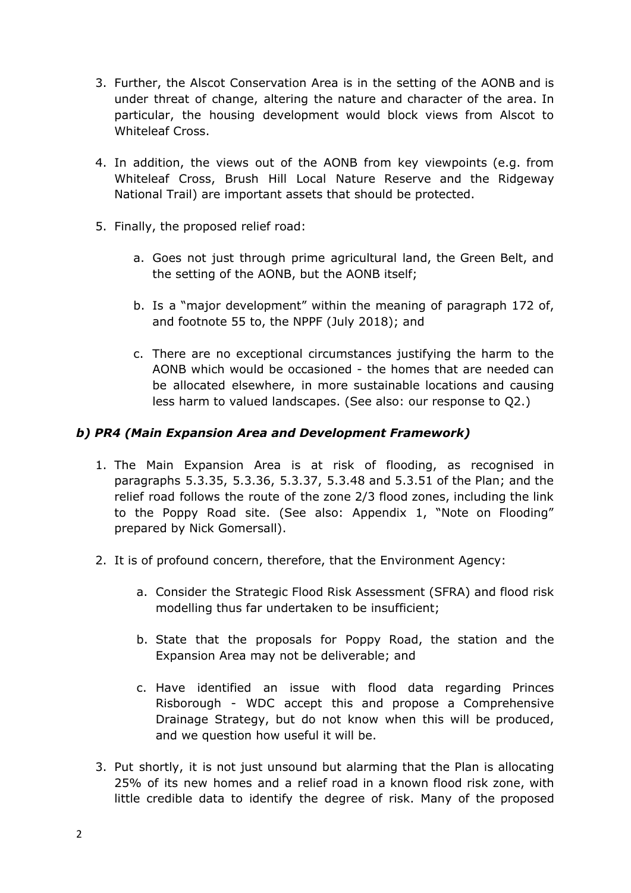- 3. Further, the Alscot Conservation Area is in the setting of the AONB and is under threat of change, altering the nature and character of the area. In particular, the housing development would block views from Alscot to Whiteleaf Cross.
- 4. In addition, the views out of the AONB from key viewpoints (e.g. from Whiteleaf Cross, Brush Hill Local Nature Reserve and the Ridgeway National Trail) are important assets that should be protected.
- 5. Finally, the proposed relief road:
	- a. Goes not just through prime agricultural land, the Green Belt, and the setting of the AONB, but the AONB itself;
	- b. Is a "major development" within the meaning of paragraph 172 of, and footnote 55 to, the NPPF (July 2018); and
	- c. There are no exceptional circumstances justifying the harm to the AONB which would be occasioned - the homes that are needed can be allocated elsewhere, in more sustainable locations and causing less harm to valued landscapes. (See also: our response to Q2.)

# *b) PR4 (Main Expansion Area and Development Framework)*

- 1. The Main Expansion Area is at risk of flooding, as recognised in paragraphs 5.3.35, 5.3.36, 5.3.37, 5.3.48 and 5.3.51 of the Plan; and the relief road follows the route of the zone 2/3 flood zones, including the link to the Poppy Road site. (See also: Appendix 1, "Note on Flooding" prepared by Nick Gomersall).
- 2. It is of profound concern, therefore, that the Environment Agency:
	- a. Consider the Strategic Flood Risk Assessment (SFRA) and flood risk modelling thus far undertaken to be insufficient;
	- b. State that the proposals for Poppy Road, the station and the Expansion Area may not be deliverable; and
	- c. Have identified an issue with flood data regarding Princes Risborough - WDC accept this and propose a Comprehensive Drainage Strategy, but do not know when this will be produced, and we question how useful it will be.
- 3. Put shortly, it is not just unsound but alarming that the Plan is allocating 25% of its new homes and a relief road in a known flood risk zone, with little credible data to identify the degree of risk. Many of the proposed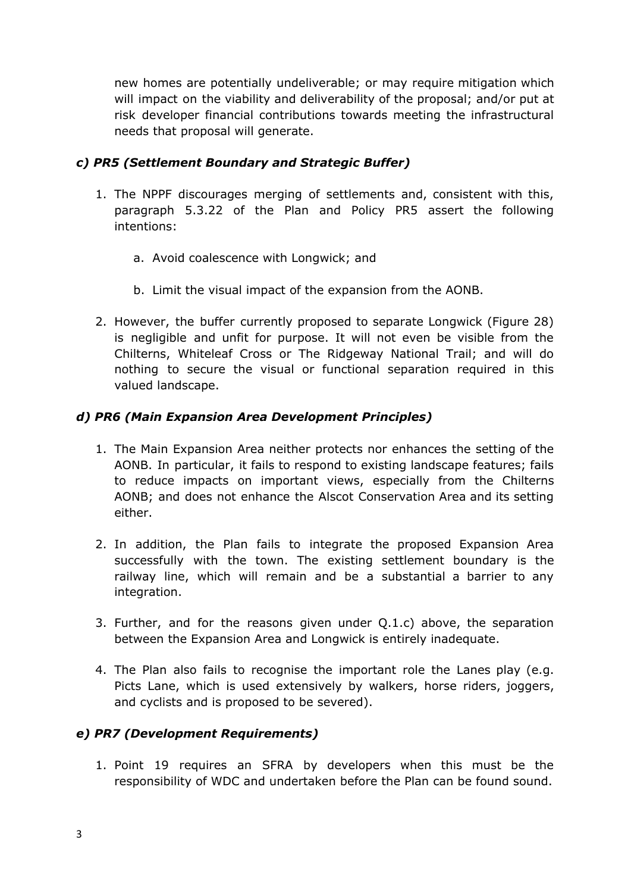new homes are potentially undeliverable; or may require mitigation which will impact on the viability and deliverability of the proposal; and/or put at risk developer financial contributions towards meeting the infrastructural needs that proposal will generate.

# *c) PR5 (Settlement Boundary and Strategic Buffer)*

- 1. The NPPF discourages merging of settlements and, consistent with this, paragraph 5.3.22 of the Plan and Policy PR5 assert the following intentions:
	- a. Avoid coalescence with Longwick; and
	- b. Limit the visual impact of the expansion from the AONB.
- 2. However, the buffer currently proposed to separate Longwick (Figure 28) is negligible and unfit for purpose. It will not even be visible from the Chilterns, Whiteleaf Cross or The Ridgeway National Trail; and will do nothing to secure the visual or functional separation required in this valued landscape.

# *d) PR6 (Main Expansion Area Development Principles)*

- 1. The Main Expansion Area neither protects nor enhances the setting of the AONB. In particular, it fails to respond to existing landscape features; fails to reduce impacts on important views, especially from the Chilterns AONB; and does not enhance the Alscot Conservation Area and its setting either.
- 2. In addition, the Plan fails to integrate the proposed Expansion Area successfully with the town. The existing settlement boundary is the railway line, which will remain and be a substantial a barrier to any integration.
- 3. Further, and for the reasons given under Q.1.c) above, the separation between the Expansion Area and Longwick is entirely inadequate.
- 4. The Plan also fails to recognise the important role the Lanes play (e.g. Picts Lane, which is used extensively by walkers, horse riders, joggers, and cyclists and is proposed to be severed).

# *e) PR7 (Development Requirements)*

1. Point 19 requires an SFRA by developers when this must be the responsibility of WDC and undertaken before the Plan can be found sound.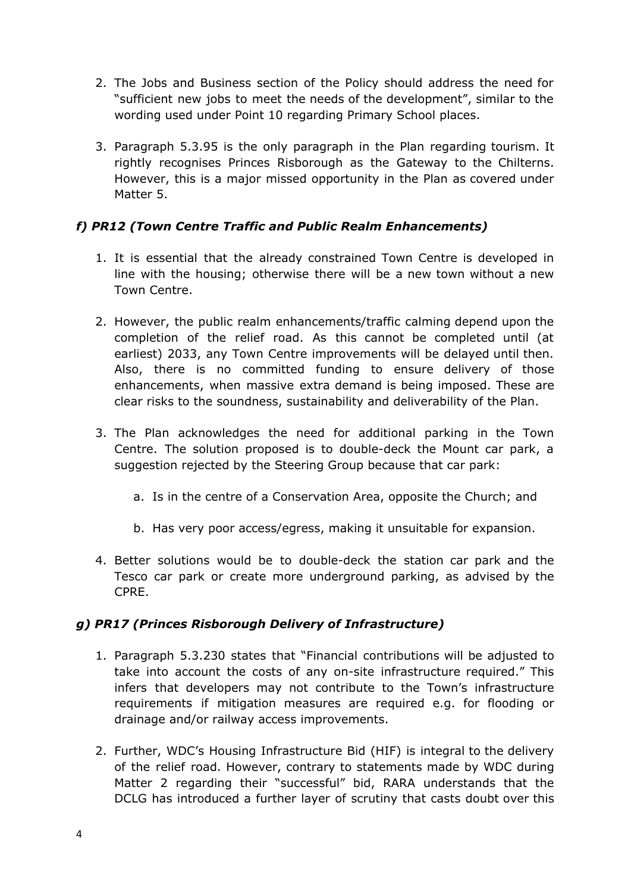- 2. The Jobs and Business section of the Policy should address the need for "sufficient new jobs to meet the needs of the development", similar to the wording used under Point 10 regarding Primary School places.
- 3. Paragraph 5.3.95 is the only paragraph in the Plan regarding tourism. It rightly recognises Princes Risborough as the Gateway to the Chilterns. However, this is a major missed opportunity in the Plan as covered under Matter 5.

# *f) PR12 (Town Centre Traffic and Public Realm Enhancements)*

- 1. It is essential that the already constrained Town Centre is developed in line with the housing; otherwise there will be a new town without a new Town Centre.
- 2. However, the public realm enhancements/traffic calming depend upon the completion of the relief road. As this cannot be completed until (at earliest) 2033, any Town Centre improvements will be delayed until then. Also, there is no committed funding to ensure delivery of those enhancements, when massive extra demand is being imposed. These are clear risks to the soundness, sustainability and deliverability of the Plan.
- 3. The Plan acknowledges the need for additional parking in the Town Centre. The solution proposed is to double-deck the Mount car park, a suggestion rejected by the Steering Group because that car park:
	- a. Is in the centre of a Conservation Area, opposite the Church; and
	- b. Has very poor access/egress, making it unsuitable for expansion.
- 4. Better solutions would be to double-deck the station car park and the Tesco car park or create more underground parking, as advised by the CPRE.

# *g) PR17 (Princes Risborough Delivery of Infrastructure)*

- 1. Paragraph 5.3.230 states that "Financial contributions will be adjusted to take into account the costs of any on-site infrastructure required." This infers that developers may not contribute to the Town's infrastructure requirements if mitigation measures are required e.g. for flooding or drainage and/or railway access improvements.
- 2. Further, WDC's Housing Infrastructure Bid (HIF) is integral to the delivery of the relief road. However, contrary to statements made by WDC during Matter 2 regarding their "successful" bid, RARA understands that the DCLG has introduced a further layer of scrutiny that casts doubt over this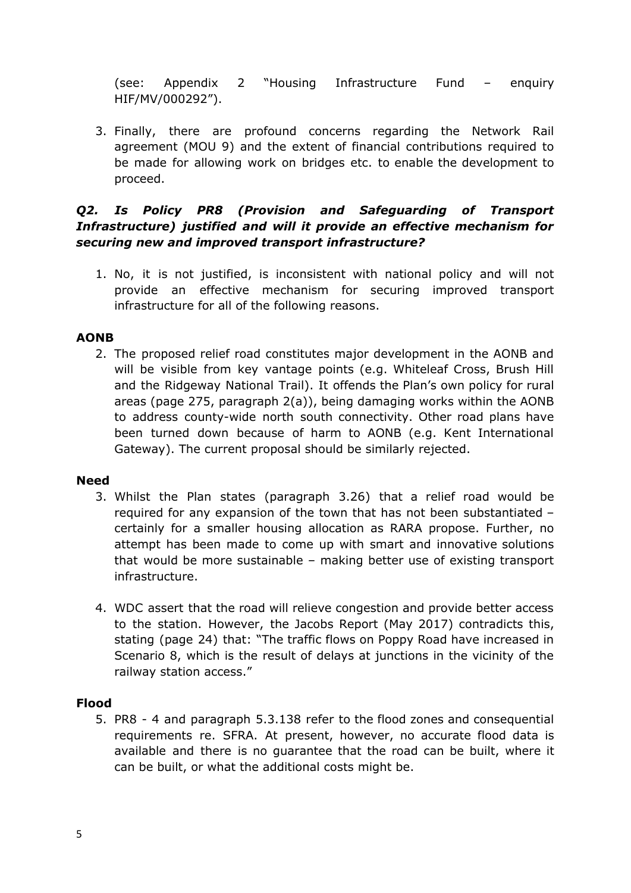(see: Appendix 2 "Housing Infrastructure Fund – enquiry HIF/MV/000292").

3. Finally, there are profound concerns regarding the Network Rail agreement (MOU 9) and the extent of financial contributions required to be made for allowing work on bridges etc. to enable the development to proceed.

# *Q2. Is Policy PR8 (Provision and Safeguarding of Transport Infrastructure) justified and will it provide an effective mechanism for securing new and improved transport infrastructure?*

1. No, it is not justified, is inconsistent with national policy and will not provide an effective mechanism for securing improved transport infrastructure for all of the following reasons.

#### **AONB**

2. The proposed relief road constitutes major development in the AONB and will be visible from key vantage points (e.g. Whiteleaf Cross, Brush Hill and the Ridgeway National Trail). It offends the Plan's own policy for rural areas (page 275, paragraph 2(a)), being damaging works within the AONB to address county-wide north south connectivity. Other road plans have been turned down because of harm to AONB (e.g. Kent International Gateway). The current proposal should be similarly rejected.

#### **Need**

- 3. Whilst the Plan states (paragraph 3.26) that a relief road would be required for any expansion of the town that has not been substantiated – certainly for a smaller housing allocation as RARA propose. Further, no attempt has been made to come up with smart and innovative solutions that would be more sustainable – making better use of existing transport infrastructure.
- 4. WDC assert that the road will relieve congestion and provide better access to the station. However, the Jacobs Report (May 2017) contradicts this, stating (page 24) that: "The traffic flows on Poppy Road have increased in Scenario 8, which is the result of delays at junctions in the vicinity of the railway station access."

#### **Flood**

5. PR8 - 4 and paragraph 5.3.138 refer to the flood zones and consequential requirements re. SFRA. At present, however, no accurate flood data is available and there is no guarantee that the road can be built, where it can be built, or what the additional costs might be.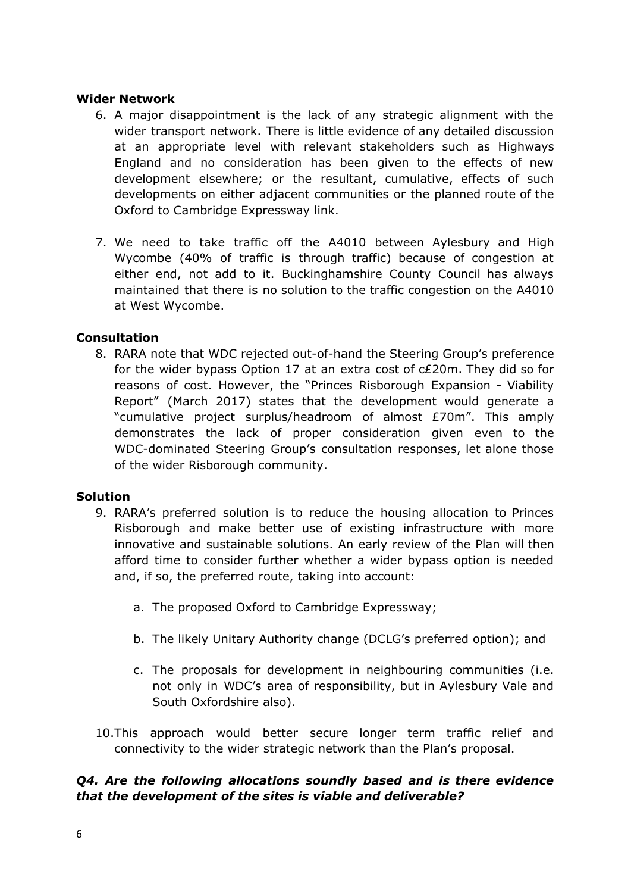#### **Wider Network**

- 6. A major disappointment is the lack of any strategic alignment with the wider transport network. There is little evidence of any detailed discussion at an appropriate level with relevant stakeholders such as Highways England and no consideration has been given to the effects of new development elsewhere; or the resultant, cumulative, effects of such developments on either adjacent communities or the planned route of the Oxford to Cambridge Expressway link.
- 7. We need to take traffic off the A4010 between Aylesbury and High Wycombe (40% of traffic is through traffic) because of congestion at either end, not add to it. Buckinghamshire County Council has always maintained that there is no solution to the traffic congestion on the A4010 at West Wycombe.

### **Consultation**

8. RARA note that WDC rejected out-of-hand the Steering Group's preference for the wider bypass Option 17 at an extra cost of c£20m. They did so for reasons of cost. However, the "Princes Risborough Expansion - Viability Report" (March 2017) states that the development would generate a "cumulative project surplus/headroom of almost £70m". This amply demonstrates the lack of proper consideration given even to the WDC-dominated Steering Group's consultation responses, let alone those of the wider Risborough community.

#### **Solution**

- 9. RARA's preferred solution is to reduce the housing allocation to Princes Risborough and make better use of existing infrastructure with more innovative and sustainable solutions. An early review of the Plan will then afford time to consider further whether a wider bypass option is needed and, if so, the preferred route, taking into account:
	- a. The proposed Oxford to Cambridge Expressway;
	- b. The likely Unitary Authority change (DCLG's preferred option); and
	- c. The proposals for development in neighbouring communities (i.e. not only in WDC's area of responsibility, but in Aylesbury Vale and South Oxfordshire also).
- 10.This approach would better secure longer term traffic relief and connectivity to the wider strategic network than the Plan's proposal.

# *Q4. Are the following allocations soundly based and is there evidence that the development of the sites is viable and deliverable?*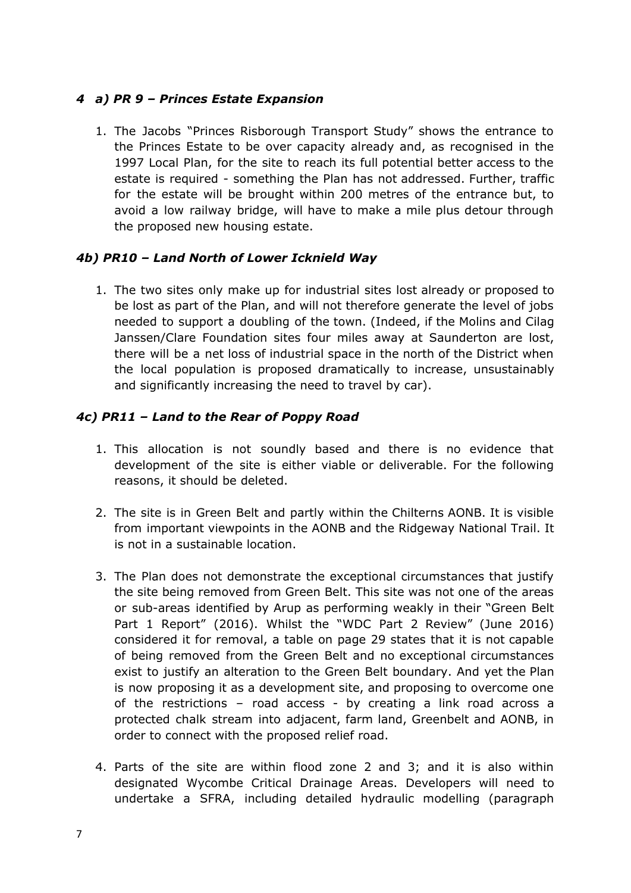### *4 a) PR 9 – Princes Estate Expansion*

1. The Jacobs "Princes Risborough Transport Study" shows the entrance to the Princes Estate to be over capacity already and, as recognised in the 1997 Local Plan, for the site to reach its full potential better access to the estate is required - something the Plan has not addressed. Further, traffic for the estate will be brought within 200 metres of the entrance but, to avoid a low railway bridge, will have to make a mile plus detour through the proposed new housing estate.

### *4b) PR10 – Land North of Lower Icknield Way*

1. The two sites only make up for industrial sites lost already or proposed to be lost as part of the Plan, and will not therefore generate the level of jobs needed to support a doubling of the town. (Indeed, if the Molins and Cilag Janssen/Clare Foundation sites four miles away at Saunderton are lost, there will be a net loss of industrial space in the north of the District when the local population is proposed dramatically to increase, unsustainably and significantly increasing the need to travel by car).

### *4c) PR11 – Land to the Rear of Poppy Road*

- 1. This allocation is not soundly based and there is no evidence that development of the site is either viable or deliverable. For the following reasons, it should be deleted.
- 2. The site is in Green Belt and partly within the Chilterns AONB. It is visible from important viewpoints in the AONB and the Ridgeway National Trail. It is not in a sustainable location.
- 3. The Plan does not demonstrate the exceptional circumstances that justify the site being removed from Green Belt. This site was not one of the areas or sub-areas identified by Arup as performing weakly in their "Green Belt Part 1 Report" (2016). Whilst the "WDC Part 2 Review" (June 2016) considered it for removal, a table on page 29 states that it is not capable of being removed from the Green Belt and no exceptional circumstances exist to justify an alteration to the Green Belt boundary. And yet the Plan is now proposing it as a development site, and proposing to overcome one of the restrictions – road access - by creating a link road across a protected chalk stream into adjacent, farm land, Greenbelt and AONB, in order to connect with the proposed relief road.
- 4. Parts of the site are within flood zone 2 and 3; and it is also within designated Wycombe Critical Drainage Areas. Developers will need to undertake a SFRA, including detailed hydraulic modelling (paragraph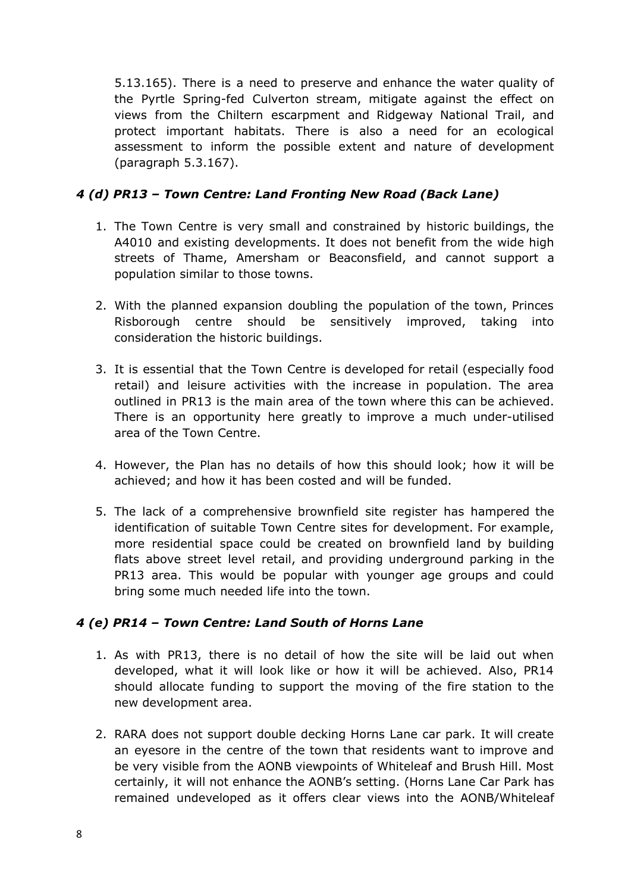5.13.165). There is a need to preserve and enhance the water quality of the Pyrtle Spring-fed Culverton stream, mitigate against the effect on views from the Chiltern escarpment and Ridgeway National Trail, and protect important habitats. There is also a need for an ecological assessment to inform the possible extent and nature of development (paragraph 5.3.167).

# *4 (d) PR13 – Town Centre: Land Fronting New Road (Back Lane)*

- 1. The Town Centre is very small and constrained by historic buildings, the A4010 and existing developments. It does not benefit from the wide high streets of Thame, Amersham or Beaconsfield, and cannot support a population similar to those towns.
- 2. With the planned expansion doubling the population of the town, Princes Risborough centre should be sensitively improved, taking into consideration the historic buildings.
- 3. It is essential that the Town Centre is developed for retail (especially food retail) and leisure activities with the increase in population. The area outlined in PR13 is the main area of the town where this can be achieved. There is an opportunity here greatly to improve a much under-utilised area of the Town Centre.
- 4. However, the Plan has no details of how this should look; how it will be achieved; and how it has been costed and will be funded.
- 5. The lack of a comprehensive brownfield site register has hampered the identification of suitable Town Centre sites for development. For example, more residential space could be created on brownfield land by building flats above street level retail, and providing underground parking in the PR13 area. This would be popular with younger age groups and could bring some much needed life into the town.

# *4 (e) PR14 – Town Centre: Land South of Horns Lane*

- 1. As with PR13, there is no detail of how the site will be laid out when developed, what it will look like or how it will be achieved. Also, PR14 should allocate funding to support the moving of the fire station to the new development area.
- 2. RARA does not support double decking Horns Lane car park. It will create an eyesore in the centre of the town that residents want to improve and be very visible from the AONB viewpoints of Whiteleaf and Brush Hill. Most certainly, it will not enhance the AONB's setting. (Horns Lane Car Park has remained undeveloped as it offers clear views into the AONB/Whiteleaf